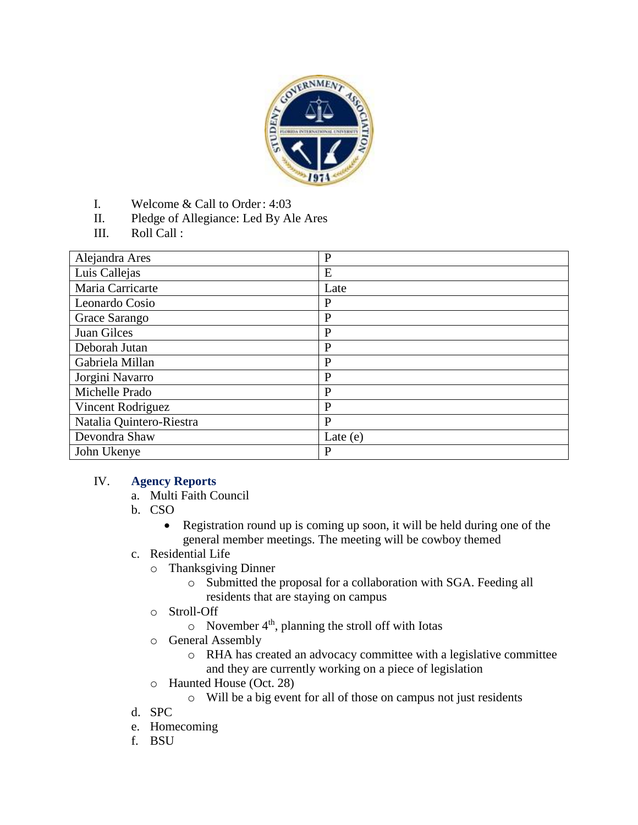

- I. Welcome & Call to Order: 4:03
- II. Pledge of Allegiance: Led By Ale Ares
- III. Roll Call :

| Alejandra Ares           | $\mathbf{P}$ |
|--------------------------|--------------|
| Luis Callejas            | E            |
| Maria Carricarte         | Late         |
| Leonardo Cosio           | $\mathbf{P}$ |
| Grace Sarango            | $\mathbf{P}$ |
| Juan Gilces              | $\mathbf{P}$ |
| Deborah Jutan            | $\mathbf{P}$ |
| Gabriela Millan          | P            |
| Jorgini Navarro          | $\mathbf{P}$ |
| Michelle Prado           | $\mathbf{P}$ |
| Vincent Rodriguez        | P            |
| Natalia Quintero-Riestra | P            |
| Devondra Shaw            | Late $(e)$   |
| John Ukenye              | P            |

#### IV. **Agency Reports**

- a. Multi Faith Council
- b. CSO
	- Registration round up is coming up soon, it will be held during one of the general member meetings. The meeting will be cowboy themed
- c. Residential Life
	- o Thanksgiving Dinner
		- o Submitted the proposal for a collaboration with SGA. Feeding all residents that are staying on campus
	- o Stroll-Off
		- $\circ$  November 4<sup>th</sup>, planning the stroll off with Iotas
	- o General Assembly
		- o RHA has created an advocacy committee with a legislative committee and they are currently working on a piece of legislation
	- o Haunted House (Oct. 28)
		- o Will be a big event for all of those on campus not just residents
- d. SPC
- e. Homecoming
- f. BSU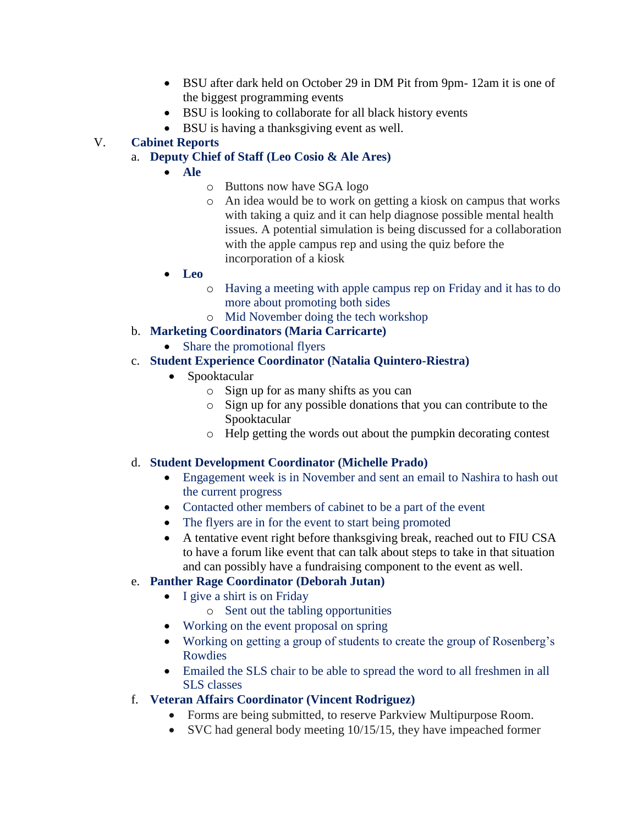- BSU after dark held on October 29 in DM Pit from 9pm- 12am it is one of the biggest programming events
- BSU is looking to collaborate for all black history events
- BSU is having a thanksgiving event as well.

# V. **Cabinet Reports**

- a. **Deputy Chief of Staff (Leo Cosio & Ale Ares)**
	- **Ale**
		- o Buttons now have SGA logo
		- o An idea would be to work on getting a kiosk on campus that works with taking a quiz and it can help diagnose possible mental health issues. A potential simulation is being discussed for a collaboration with the apple campus rep and using the quiz before the incorporation of a kiosk
	- **Leo**
		- o Having a meeting with apple campus rep on Friday and it has to do more about promoting both sides
		- o Mid November doing the tech workshop
- b. **Marketing Coordinators (Maria Carricarte)**
	- Share the promotional flyers
- c. **Student Experience Coordinator (Natalia Quintero-Riestra)**
	- Spooktacular
		- o Sign up for as many shifts as you can
		- o Sign up for any possible donations that you can contribute to the Spooktacular
		- o Help getting the words out about the pumpkin decorating contest

### d. **Student Development Coordinator (Michelle Prado)**

- Engagement week is in November and sent an email to Nashira to hash out the current progress
- Contacted other members of cabinet to be a part of the event
- The flyers are in for the event to start being promoted
- A tentative event right before thanksgiving break, reached out to FIU CSA to have a forum like event that can talk about steps to take in that situation and can possibly have a fundraising component to the event as well.

# e. **Panther Rage Coordinator (Deborah Jutan)**

- I give a shirt is on Friday
	- o Sent out the tabling opportunities
- Working on the event proposal on spring
- Working on getting a group of students to create the group of Rosenberg's Rowdies
- Emailed the SLS chair to be able to spread the word to all freshmen in all SLS classes
- f. **Veteran Affairs Coordinator (Vincent Rodriguez)**
	- Forms are being submitted, to reserve Parkview Multipurpose Room.
	- SVC had general body meeting 10/15/15, they have impeached former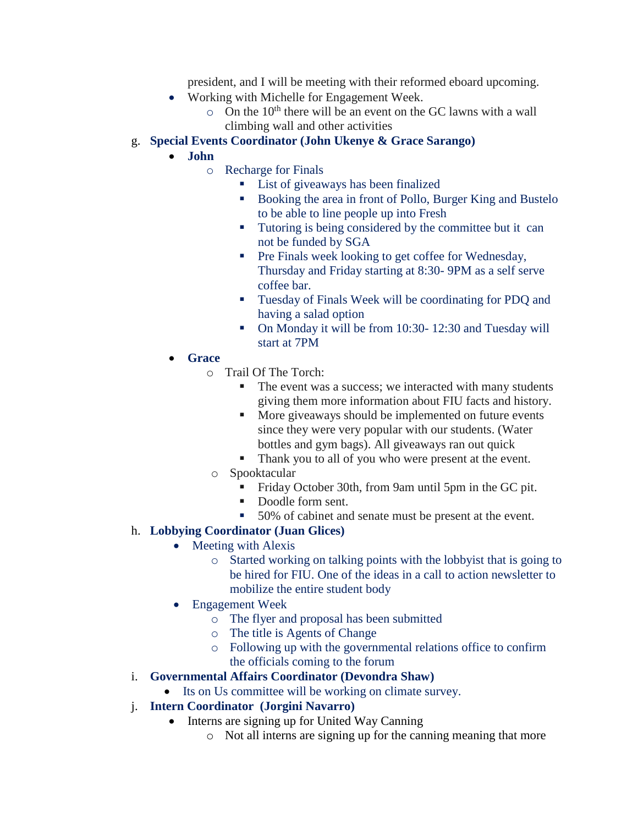president, and I will be meeting with their reformed eboard upcoming.

- Working with Michelle for Engagement Week.
	- $\circ$  On the 10<sup>th</sup> there will be an event on the GC lawns with a wall climbing wall and other activities

#### g. **Special Events Coordinator (John Ukenye & Grace Sarango)**

#### **John**

- o Recharge for Finals
	- List of giveaways has been finalized
	- Booking the area in front of Pollo, Burger King and Bustelo to be able to line people up into Fresh
	- Tutoring is being considered by the committee but it can not be funded by SGA
	- **Pre Finals week looking to get coffee for Wednesday,** Thursday and Friday starting at 8:30- 9PM as a self serve coffee bar.
	- **Tuesday of Finals Week will be coordinating for PDQ and** having a salad option
	- On Monday it will be from 10:30- 12:30 and Tuesday will start at 7PM
- **Grace**
	- o Trail Of The Torch:
		- The event was a success; we interacted with many students giving them more information about FIU facts and history.
		- **More giveaways should be implemented on future events** since they were very popular with our students. (Water bottles and gym bags). All giveaways ran out quick
		- Thank you to all of you who were present at the event.
	- o Spooktacular
		- Friday October 30th, from 9am until 5pm in the GC pit.
		- Doodle form sent.
		- 50% of cabinet and senate must be present at the event.

### h. **Lobbying Coordinator (Juan Glices)**

- Meeting with Alexis
	- o Started working on talking points with the lobbyist that is going to be hired for FIU. One of the ideas in a call to action newsletter to mobilize the entire student body
	- Engagement Week
		- o The flyer and proposal has been submitted
		- o The title is Agents of Change
		- o Following up with the governmental relations office to confirm the officials coming to the forum
- i. **Governmental Affairs Coordinator (Devondra Shaw)**
	- Its on Us committee will be working on climate survey.
- j. **Intern Coordinator (Jorgini Navarro)**
	- Interns are signing up for United Way Canning
		- o Not all interns are signing up for the canning meaning that more